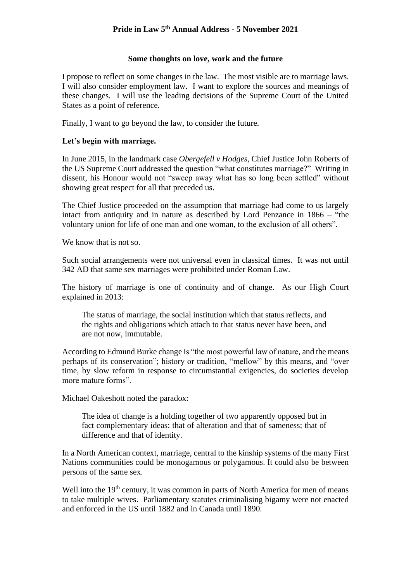# **Some thoughts on love, work and the future**

I propose to reflect on some changes in the law. The most visible are to marriage laws. I will also consider employment law. I want to explore the sources and meanings of these changes. I will use the leading decisions of the Supreme Court of the United States as a point of reference.

Finally, I want to go beyond the law, to consider the future.

# **Let's begin with marriage.**

In June 2015, in the landmark case *Obergefell v Hodges*, Chief Justice John Roberts of the US Supreme Court addressed the question "what constitutes marriage?" Writing in dissent, his Honour would not "sweep away what has so long been settled" without showing great respect for all that preceded us.

The Chief Justice proceeded on the assumption that marriage had come to us largely intact from antiquity and in nature as described by Lord Penzance in 1866 – "the voluntary union for life of one man and one woman, to the exclusion of all others".

We know that is not so.

Such social arrangements were not universal even in classical times. It was not until 342 AD that same sex marriages were prohibited under Roman Law.

The history of marriage is one of continuity and of change. As our High Court explained in 2013:

The status of marriage, the social institution which that status reflects, and the rights and obligations which attach to that status never have been, and are not now, immutable.

According to Edmund Burke change is "the most powerful law of nature, and the means perhaps of its conservation"; history or tradition, "mellow" by this means, and "over time, by slow reform in response to circumstantial exigencies, do societies develop more mature forms".

Michael Oakeshott noted the paradox:

The idea of change is a holding together of two apparently opposed but in fact complementary ideas: that of alteration and that of sameness; that of difference and that of identity.

In a North American context, marriage, central to the kinship systems of the many First Nations communities could be monogamous or polygamous. It could also be between persons of the same sex.

Well into the 19<sup>th</sup> century, it was common in parts of North America for men of means to take multiple wives. Parliamentary statutes criminalising bigamy were not enacted and enforced in the US until 1882 and in Canada until 1890.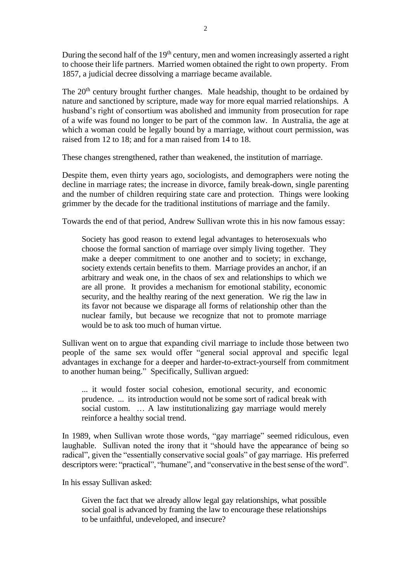During the second half of the 19<sup>th</sup> century, men and women increasingly asserted a right to choose their life partners. Married women obtained the right to own property. From 1857, a judicial decree dissolving a marriage became available.

The 20<sup>th</sup> century brought further changes. Male headship, thought to be ordained by nature and sanctioned by scripture, made way for more equal married relationships. A husband's right of consortium was abolished and immunity from prosecution for rape of a wife was found no longer to be part of the common law. In Australia, the age at which a woman could be legally bound by a marriage, without court permission, was raised from 12 to 18; and for a man raised from 14 to 18.

These changes strengthened, rather than weakened, the institution of marriage.

Despite them, even thirty years ago, sociologists, and demographers were noting the decline in marriage rates; the increase in divorce, family break-down, single parenting and the number of children requiring state care and protection. Things were looking grimmer by the decade for the traditional institutions of marriage and the family.

Towards the end of that period, Andrew Sullivan wrote this in his now famous essay:

Society has good reason to extend legal advantages to heterosexuals who choose the formal sanction of marriage over simply living together. They make a deeper commitment to one another and to society; in exchange, society extends certain benefits to them. Marriage provides an anchor, if an arbitrary and weak one, in the chaos of sex and relationships to which we are all prone. It provides a mechanism for emotional stability, economic security, and the healthy rearing of the next generation. We rig the law in its favor not because we disparage all forms of relationship other than the nuclear family, but because we recognize that not to promote marriage would be to ask too much of human virtue.

Sullivan went on to argue that expanding civil marriage to include those between two people of the same sex would offer "general social approval and specific legal advantages in exchange for a deeper and harder-to-extract-yourself from commitment to another human being." Specifically, Sullivan argued:

... it would foster social cohesion, emotional security, and economic prudence. ... its introduction would not be some sort of radical break with social custom. … A law institutionalizing gay marriage would merely reinforce a healthy social trend.

In 1989, when Sullivan wrote those words, "gay marriage" seemed ridiculous, even laughable. Sullivan noted the irony that it "should have the appearance of being so radical", given the "essentially conservative social goals" of gay marriage. His preferred descriptors were: "practical", "humane", and "conservative in the best sense of the word".

In his essay Sullivan asked:

Given the fact that we already allow legal gay relationships, what possible social goal is advanced by framing the law to encourage these relationships to be unfaithful, undeveloped, and insecure?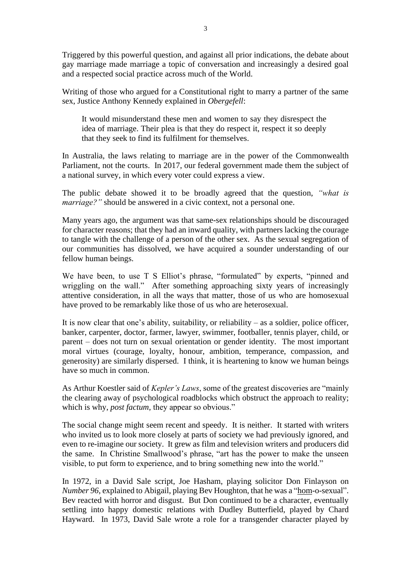Triggered by this powerful question, and against all prior indications, the debate about gay marriage made marriage a topic of conversation and increasingly a desired goal and a respected social practice across much of the World.

Writing of those who argued for a Constitutional right to marry a partner of the same sex, Justice Anthony Kennedy explained in *Obergefell*:

It would misunderstand these men and women to say they disrespect the idea of marriage. Their plea is that they do respect it, respect it so deeply that they seek to find its fulfilment for themselves.

In Australia, the laws relating to marriage are in the power of the Commonwealth Parliament, not the courts. In 2017, our federal government made them the subject of a national survey, in which every voter could express a view.

The public debate showed it to be broadly agreed that the question, *"what is marriage?"* should be answered in a civic context, not a personal one.

Many years ago, the argument was that same-sex relationships should be discouraged for character reasons; that they had an inward quality, with partners lacking the courage to tangle with the challenge of a person of the other sex. As the sexual segregation of our communities has dissolved, we have acquired a sounder understanding of our fellow human beings.

We have been, to use T S Elliot's phrase, "formulated" by experts, "pinned and wriggling on the wall." After something approaching sixty years of increasingly attentive consideration, in all the ways that matter, those of us who are homosexual have proved to be remarkably like those of us who are heterosexual.

It is now clear that one's ability, suitability, or reliability – as a soldier, police officer, banker, carpenter, doctor, farmer, lawyer, swimmer, footballer, tennis player, child, or parent – does not turn on sexual orientation or gender identity. The most important moral virtues (courage, loyalty, honour, ambition, temperance, compassion, and generosity) are similarly dispersed. I think, it is heartening to know we human beings have so much in common.

As Arthur Koestler said of *Kepler's Laws*, some of the greatest discoveries are "mainly the clearing away of psychological roadblocks which obstruct the approach to reality; which is why, *post factum,* they appear so obvious."

The social change might seem recent and speedy. It is neither. It started with writers who invited us to look more closely at parts of society we had previously ignored, and even to re-imagine our society. It grew as film and television writers and producers did the same. In Christine Smallwood's phrase, "art has the power to make the unseen visible, to put form to experience, and to bring something new into the world."

In 1972, in a David Sale script, Joe Hasham, playing solicitor Don Finlayson on *Number 96*, explained to Abigail, playing Bev Houghton, that he was a "hom-o-sexual". Bev reacted with horror and disgust. But Don continued to be a character, eventually settling into happy domestic relations with Dudley Butterfield, played by Chard Hayward. In 1973, David Sale wrote a role for a transgender character played by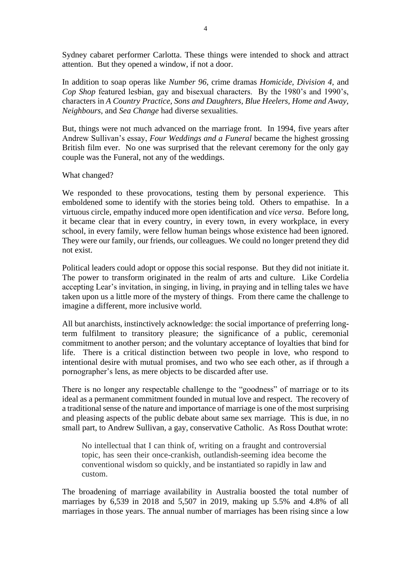Sydney cabaret performer Carlotta. These things were intended to shock and attract attention. But they opened a window, if not a door.

In addition to soap operas like *Number 96*, crime dramas *Homicide, Division 4,* and *Cop Shop* featured lesbian, gay and bisexual characters. By the 1980's and 1990's, characters in *A Country Practice, Sons and Daughters, Blue Heelers, Home and Away, Neighbours,* and *Sea Change* had diverse sexualities.

But, things were not much advanced on the marriage front. In 1994, five years after Andrew Sullivan's essay, *Four Weddings and a Funeral* became the highest grossing British film ever. No one was surprised that the relevant ceremony for the only gay couple was the Funeral, not any of the weddings.

What changed?

We responded to these provocations, testing them by personal experience. This emboldened some to identify with the stories being told. Others to empathise. In a virtuous circle, empathy induced more open identification and *vice versa*. Before long, it became clear that in every country, in every town, in every workplace, in every school, in every family, were fellow human beings whose existence had been ignored. They were our family, our friends, our colleagues. We could no longer pretend they did not exist.

Political leaders could adopt or oppose this social response. But they did not initiate it. The power to transform originated in the realm of arts and culture. Like Cordelia accepting Lear's invitation, in singing, in living, in praying and in telling tales we have taken upon us a little more of the mystery of things. From there came the challenge to imagine a different, more inclusive world.

All but anarchists, instinctively acknowledge: the social importance of preferring longterm fulfilment to transitory pleasure; the significance of a public, ceremonial commitment to another person; and the voluntary acceptance of loyalties that bind for life. There is a critical distinction between two people in love, who respond to intentional desire with mutual promises, and two who see each other, as if through a pornographer's lens, as mere objects to be discarded after use.

There is no longer any respectable challenge to the "goodness" of marriage or to its ideal as a permanent commitment founded in mutual love and respect. The recovery of a traditional sense of the nature and importance of marriage is one of the most surprising and pleasing aspects of the public debate about same sex marriage. This is due, in no small part, to Andrew Sullivan, a gay, conservative Catholic. As Ross Douthat wrote:

No intellectual that I can think of, writing on a fraught and controversial topic, has seen their once-crankish, outlandish-seeming idea become the conventional wisdom so quickly, and be instantiated so rapidly in law and custom.

The broadening of marriage availability in Australia boosted the total number of marriages by 6,539 in 2018 and 5,507 in 2019, making up 5.5% and 4.8% of all marriages in those years. The annual number of marriages has been rising since a low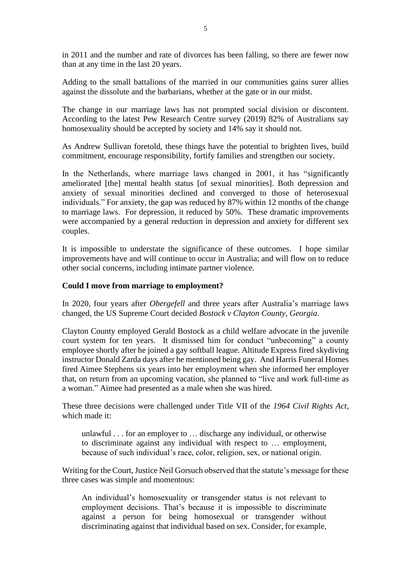in 2011 and the number and rate of divorces has been falling, so there are fewer now than at any time in the last 20 years.

Adding to the small battalions of the married in our communities gains surer allies against the dissolute and the barbarians, whether at the gate or in our midst.

The change in our marriage laws has not prompted social division or discontent. According to the latest Pew Research Centre survey (2019) 82% of Australians say homosexuality should be accepted by society and 14% say it should not.

As Andrew Sullivan foretold, these things have the potential to brighten lives, build commitment, encourage responsibility, fortify families and strengthen our society.

In the Netherlands, where marriage laws changed in 2001, it has "significantly ameliorated [the] mental health status [of sexual minorities]. Both depression and anxiety of sexual minorities declined and converged to those of heterosexual individuals." For anxiety, the gap was reduced by 87% within 12 months of the change to marriage laws. For depression, it reduced by 50%. These dramatic improvements were accompanied by a general reduction in depression and anxiety for different sex couples.

It is impossible to understate the significance of these outcomes. I hope similar improvements have and will continue to occur in Australia; and will flow on to reduce other social concerns, including intimate partner violence.

### **Could I move from marriage to employment?**

In 2020, four years after *Obergefell* and three years after Australia's marriage laws changed, the US Supreme Court decided *Bostock v Clayton County, Georgia*.

Clayton County employed Gerald Bostock as a child welfare advocate in the juvenile court system for ten years. It dismissed him for conduct "unbecoming" a county employee shortly after he joined a gay softball league. Altitude Express fired skydiving instructor Donald Zarda days after he mentioned being gay. And Harris Funeral Homes fired Aimee Stephens six years into her employment when she informed her employer that, on return from an upcoming vacation, she planned to "live and work full-time as a woman." Aimee had presented as a male when she was hired.

These three decisions were challenged under Title VII of the *1964 Civil Rights Act*, which made it:

unlawful . . . for an employer to … discharge any individual, or otherwise to discriminate against any individual with respect to … employment, because of such individual's race, color, religion, sex, or national origin.

Writing for the Court, Justice Neil Gorsuch observed that the statute's message for these three cases was simple and momentous:

An individual's homosexuality or transgender status is not relevant to employment decisions. That's because it is impossible to discriminate against a person for being homosexual or transgender without discriminating against that individual based on sex. Consider, for example,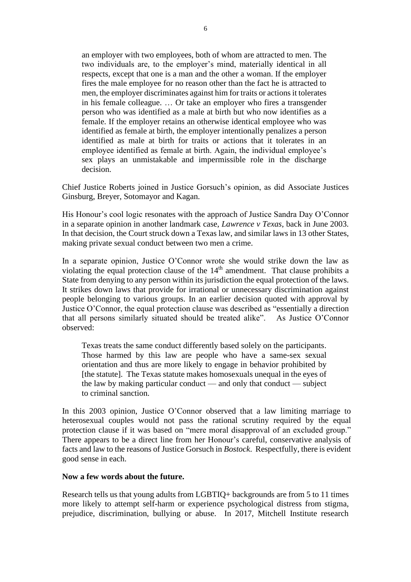an employer with two employees, both of whom are attracted to men. The two individuals are, to the employer's mind, materially identical in all respects, except that one is a man and the other a woman. If the employer fires the male employee for no reason other than the fact he is attracted to men, the employer discriminates against him for traits or actions it tolerates in his female colleague. … Or take an employer who fires a transgender person who was identified as a male at birth but who now identifies as a female. If the employer retains an otherwise identical employee who was identified as female at birth, the employer intentionally penalizes a person identified as male at birth for traits or actions that it tolerates in an employee identified as female at birth. Again, the individual employee's sex plays an unmistakable and impermissible role in the discharge decision.

Chief Justice Roberts joined in Justice Gorsuch's opinion, as did Associate Justices Ginsburg, Breyer, Sotomayor and Kagan.

His Honour's cool logic resonates with the approach of Justice Sandra Day O'Connor in a separate opinion in another landmark case, *Lawrence v Texas*, back in June 2003. In that decision, the Court struck down a Texas law, and similar laws in 13 other States, making private sexual conduct between two men a crime.

In a separate opinion, Justice O'Connor wrote she would strike down the law as violating the equal protection clause of the  $14<sup>th</sup>$  amendment. That clause prohibits a State from denying to any person within its jurisdiction the equal protection of the laws. It strikes down laws that provide for irrational or unnecessary discrimination against people belonging to various groups. In an earlier decision quoted with approval by Justice O'Connor, the equal protection clause was described as "essentially a direction that all persons similarly situated should be treated alike". As Justice O'Connor observed:

Texas treats the same conduct differently based solely on the participants. Those harmed by this law are people who have a same-sex sexual orientation and thus are more likely to engage in behavior prohibited by [the statute]. The Texas statute makes homosexuals unequal in the eyes of the law by making particular conduct — and only that conduct — subject to criminal sanction.

In this 2003 opinion, Justice O'Connor observed that a law limiting marriage to heterosexual couples would not pass the rational scrutiny required by the equal protection clause if it was based on "mere moral disapproval of an excluded group." There appears to be a direct line from her Honour's careful, conservative analysis of facts and law to the reasons of Justice Gorsuch in *Bostock*. Respectfully, there is evident good sense in each.

#### **Now a few words about the future.**

Research tells us that young adults from LGBTIQ+ backgrounds are from 5 to 11 times more likely to attempt self-harm or experience psychological distress from stigma, prejudice, discrimination, bullying or abuse. In 2017, Mitchell Institute research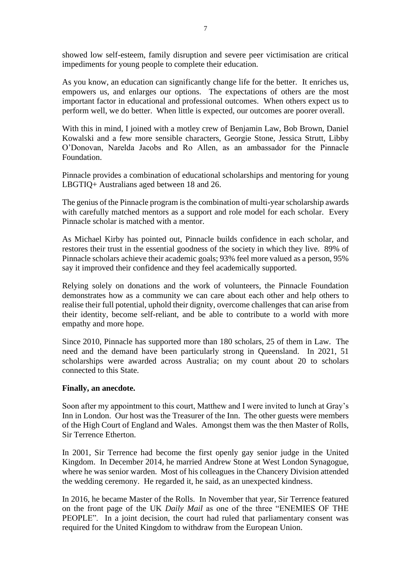showed low self-esteem, family disruption and severe peer victimisation are critical impediments for young people to complete their education.

As you know, an education can significantly change life for the better. It enriches us, empowers us, and enlarges our options. The expectations of others are the most important factor in educational and professional outcomes. When others expect us to perform well, we do better. When little is expected, our outcomes are poorer overall.

With this in mind, I joined with a motley crew of Benjamin Law, Bob Brown, Daniel Kowalski and a few more sensible characters, Georgie Stone, Jessica Strutt, Libby O'Donovan, Narelda Jacobs and Ro Allen, as an ambassador for the Pinnacle Foundation.

Pinnacle provides a combination of educational scholarships and mentoring for young LBGTIQ+ Australians aged between 18 and 26.

The genius of the Pinnacle program is the combination of multi-year scholarship awards with carefully matched mentors as a support and role model for each scholar. Every Pinnacle scholar is matched with a mentor.

As Michael Kirby has pointed out, Pinnacle builds confidence in each scholar, and restores their trust in the essential goodness of the society in which they live. 89% of Pinnacle scholars achieve their academic goals; 93% feel more valued as a person, 95% say it improved their confidence and they feel academically supported.

Relying solely on donations and the work of volunteers, the Pinnacle Foundation demonstrates how as a community we can care about each other and help others to realise their full potential, uphold their dignity, overcome challenges that can arise from their identity, become self-reliant, and be able to contribute to a world with more empathy and more hope.

Since 2010, Pinnacle has supported more than 180 scholars, 25 of them in Law. The need and the demand have been particularly strong in Queensland. In 2021, 51 scholarships were awarded across Australia; on my count about 20 to scholars connected to this State.

# **Finally, an anecdote.**

Soon after my appointment to this court, Matthew and I were invited to lunch at Gray's Inn in London. Our host was the Treasurer of the Inn. The other guests were members of the High Court of England and Wales. Amongst them was the then Master of Rolls, Sir Terrence Etherton.

In 2001, Sir Terrence had become the first openly gay senior judge in the United Kingdom. In December 2014, he married Andrew Stone at West London Synagogue, where he was senior warden. Most of his colleagues in the Chancery Division attended the wedding ceremony. He regarded it, he said, as an unexpected kindness.

In 2016, he became Master of the Rolls. In November that year, Sir Terrence featured on the front page of the UK *Daily Mail* as one of the three "ENEMIES OF THE PEOPLE". In a joint decision, the court had ruled that parliamentary consent was required for the United Kingdom to withdraw from the European Union.